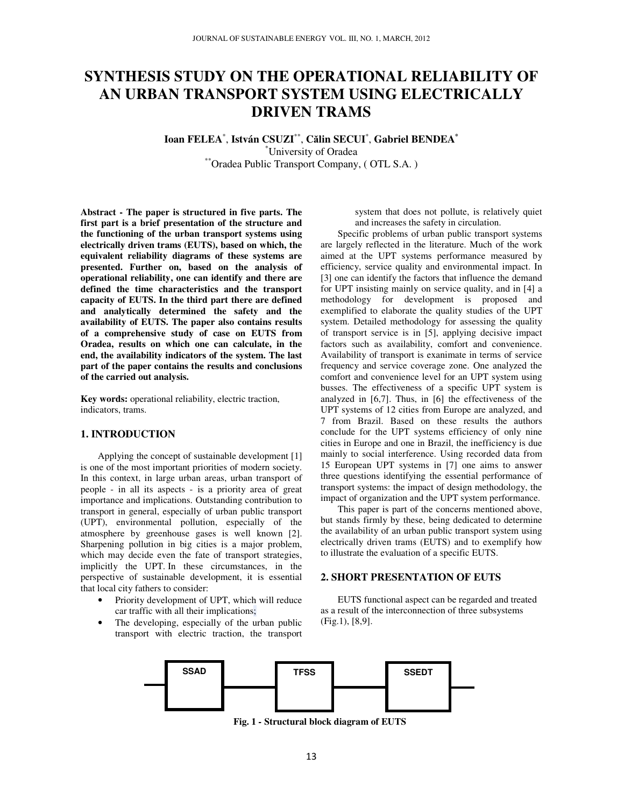# **SYNTHESIS STUDY ON THE OPERATIONAL RELIABILITY OF AN URBAN TRANSPORT SYSTEM USING ELECTRICALLY DRIVEN TRAMS**

## **Ioan FELEA**\* , **István CSUZI**\*\* , **C**ă**lin SECUI**\* , **Gabriel BENDEA\*** \*University of Oradea

\*\*Oradea Public Transport Company, ( OTL S.A. )

**Abstract - The paper is structured in five parts. The first part is a brief presentation of the structure and the functioning of the urban transport systems using electrically driven trams (EUTS), based on which, the equivalent reliability diagrams of these systems are presented. Further on, based on the analysis of operational reliability, one can identify and there are defined the time characteristics and the transport capacity of EUTS. In the third part there are defined and analytically determined the safety and the availability of EUTS. The paper also contains results of a comprehensive study of case on EUTS from Oradea, results on which one can calculate, in the end, the availability indicators of the system. The last part of the paper contains the results and conclusions of the carried out analysis.** 

**Key words:** operational reliability, electric traction, indicators, trams.

#### **1. INTRODUCTION**

Applying the concept of sustainable development [1] is one of the most important priorities of modern society. In this context, in large urban areas, urban transport of people - in all its aspects - is a priority area of great importance and implications. Outstanding contribution to transport in general, especially of urban public transport (UPT), environmental pollution, especially of the atmosphere by greenhouse gases is well known [2]. Sharpening pollution in big cities is a major problem, which may decide even the fate of transport strategies, implicitly the UPT. In these circumstances, in the perspective of sustainable development, it is essential that local city fathers to consider:

- Priority development of UPT, which will reduce car traffic with all their implications;
- The developing, especially of the urban public transport with electric traction, the transport

system that does not pollute, is relatively quiet and increases the safety in circulation.

Specific problems of urban public transport systems are largely reflected in the literature. Much of the work aimed at the UPT systems performance measured by efficiency, service quality and environmental impact. In [3] one can identify the factors that influence the demand for UPT insisting mainly on service quality, and in [4] a methodology for development is proposed and exemplified to elaborate the quality studies of the UPT system. Detailed methodology for assessing the quality of transport service is in [5], applying decisive impact factors such as availability, comfort and convenience. Availability of transport is exanimate in terms of service frequency and service coverage zone. One analyzed the comfort and convenience level for an UPT system using busses. The effectiveness of a specific UPT system is analyzed in [6,7]. Thus, in [6] the effectiveness of the UPT systems of 12 cities from Europe are analyzed, and 7 from Brazil. Based on these results the authors conclude for the UPT systems efficiency of only nine cities in Europe and one in Brazil, the inefficiency is due mainly to social interference. Using recorded data from 15 European UPT systems in [7] one aims to answer three questions identifying the essential performance of transport systems: the impact of design methodology, the impact of organization and the UPT system performance.

This paper is part of the concerns mentioned above, but stands firmly by these, being dedicated to determine the availability of an urban public transport system using electrically driven trams (EUTS) and to exemplify how to illustrate the evaluation of a specific EUTS.

# **2. SHORT PRESENTATION OF EUTS**

EUTS functional aspect can be regarded and treated as a result of the interconnection of three subsystems (Fig.1), [8,9].



**Fig. 1** *-* **Structural block diagram of EUTS**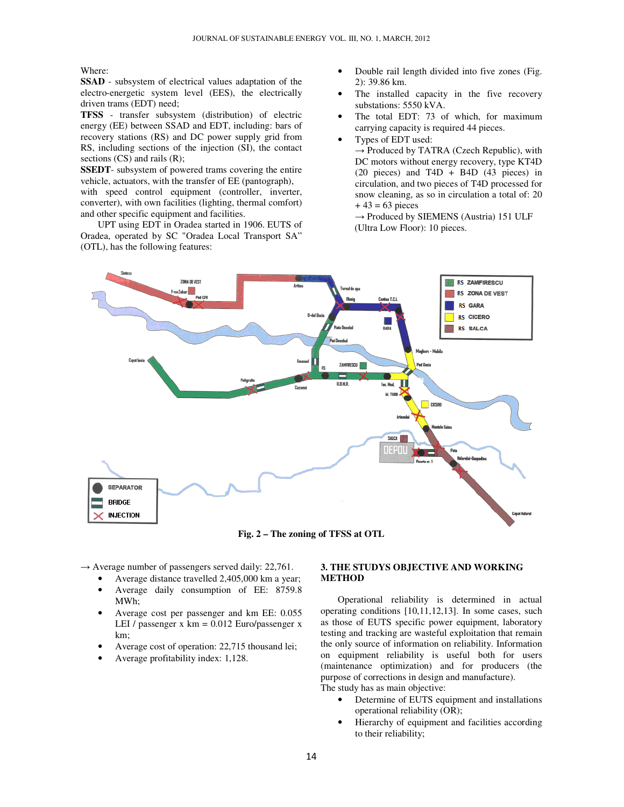Where:

**SSAD** - subsystem of electrical values adaptation of the electro-energetic system level (EES), the electrically driven trams (EDT) need;

**TFSS** - transfer subsystem (distribution) of electric energy (EE) between SSAD and EDT, including: bars of recovery stations (RS) and DC power supply grid from RS, including sections of the injection (SI), the contact sections (CS) and rails (R):

**SSEDT**- subsystem of powered trams covering the entire vehicle, actuators, with the transfer of EE (pantograph), with speed control equipment (controller, inverter, converter), with own facilities (lighting, thermal comfort) and other specific equipment and facilities.

UPT using EDT in Oradea started in 1906. EUTS of Oradea, operated by SC "Oradea Local Transport SA" (OTL), has the following features:

- Double rail length divided into five zones (Fig. 2): 39.86 km.
- The installed capacity in the five recovery substations: 5550 kVA.
- The total EDT: 73 of which, for maximum carrying capacity is required 44 pieces.
- Types of EDT used:

 $\rightarrow$  Produced by TATRA (Czech Republic), with DC motors without energy recovery, type KT4D (20 pieces) and T4D + B4D (43 pieces) in circulation, and two pieces of T4D processed for snow cleaning, as so in circulation a total of: 20  $+ 43 = 63$  pieces

 $\rightarrow$  Produced by SIEMENS (Austria) 151 ULF (Ultra Low Floor): 10 pieces.



**Fig. 2 – The zoning of TFSS at OTL** 

**METHOD** 

 $\rightarrow$  Average number of passengers served daily: 22,761.

- Average distance travelled 2,405,000 km a year; • Average daily consumption of EE: 8759.8
- MWh; • Average cost per passenger and km EE: 0.055 LEI / passenger  $x \text{ km} = 0.012$  Euro/passenger  $x$
- km; • Average cost of operation: 22,715 thousand lei;
- 

# • Average profitability index: 1,128.

## operating conditions [10,11,12,13]. In some cases, such as those of EUTS specific power equipment, laboratory

testing and tracking are wasteful exploitation that remain the only source of information on reliability. Information on equipment reliability is useful both for users (maintenance optimization) and for producers (the purpose of corrections in design and manufacture).

Operational reliability is determined in actual

**3. THE STUDYS OBJECTIVE AND WORKING** 

The study has as main objective:

- Determine of EUTS equipment and installations operational reliability (OR);
- Hierarchy of equipment and facilities according to their reliability;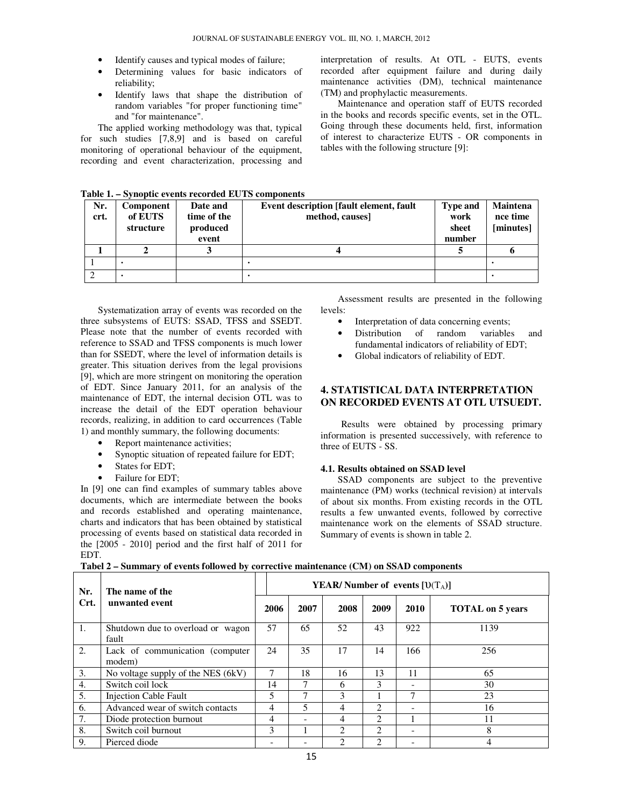- Identify causes and typical modes of failure;
- Determining values for basic indicators of reliability;
- Identify laws that shape the distribution of random variables "for proper functioning time" and "for maintenance".

The applied working methodology was that, typical for such studies [7,8,9] and is based on careful monitoring of operational behaviour of the equipment, recording and event characterization, processing and

interpretation of results. At OTL - EUTS, events recorded after equipment failure and during daily maintenance activities (DM), technical maintenance (TM) and prophylactic measurements.

Maintenance and operation staff of EUTS recorded in the books and records specific events, set in the OTL. Going through these documents held, first, information of interest to characterize EUTS - OR components in tables with the following structure [9]:

| Nr.  | <b>Component</b> | Date and    | Event description [fault element, fault | <b>Type and</b> | Maintena  |
|------|------------------|-------------|-----------------------------------------|-----------------|-----------|
| crt. | of EUTS          | time of the | method, causes                          | work            | nce time  |
|      | structure        | produced    |                                         | sheet           | [minutes] |
|      |                  | event       |                                         | number          |           |
|      |                  |             |                                         |                 |           |
|      |                  |             |                                         |                 |           |
|      |                  |             |                                         |                 |           |

**Table 1. – Synoptic events recorded EUTS components**

Systematization array of events was recorded on the three subsystems of EUTS: SSAD, TFSS and SSEDT. Please note that the number of events recorded with reference to SSAD and TFSS components is much lower than for SSEDT, where the level of information details is greater. This situation derives from the legal provisions [9], which are more stringent on monitoring the operation of EDT. Since January 2011, for an analysis of the maintenance of EDT, the internal decision OTL was to increase the detail of the EDT operation behaviour records, realizing, in addition to card occurrences (Table 1) and monthly summary, the following documents:

- Report maintenance activities;
- Synoptic situation of repeated failure for EDT;
- States for EDT:
- Failure for EDT;

In [9] one can find examples of summary tables above documents, which are intermediate between the books and records established and operating maintenance, charts and indicators that has been obtained by statistical processing of events based on statistical data recorded in the [2005 - 2010] period and the first half of 2011 for EDT.

Assessment results are presented in the following levels:

- Interpretation of data concerning events;
- Distribution of random variables and fundamental indicators of reliability of EDT;
- Global indicators of reliability of EDT.

# **4. STATISTICAL DATA INTERPRETATION ON RECORDED EVENTS AT OTL UTSUEDT.**

Results were obtained by processing primary information is presented successively, with reference to three of EUTS - SS.

#### **4.1. Results obtained on SSAD level**

SSAD components are subject to the preventive maintenance (PM) works (technical revision) at intervals of about six months. From existing records in the OTL results a few unwanted events, followed by corrective maintenance work on the elements of SSAD structure. Summary of events is shown in table 2.

**Tabel 2 – Summary of events followed by corrective maintenance (CM) on SSAD components** 

| Nr.              | The name of the                            | <b>YEAR/</b> Number of events $[U(T_A)]$ |                          |                |                             |                              |                         |  |
|------------------|--------------------------------------------|------------------------------------------|--------------------------|----------------|-----------------------------|------------------------------|-------------------------|--|
| Crt.             | unwanted event                             | 2006                                     | 2007                     | 2008           | 2009                        | 2010                         | <b>TOTAL</b> on 5 years |  |
| 1.               | Shutdown due to overload or wagon<br>fault | 57                                       | 65                       | 52             | 43                          | 922                          | 1139                    |  |
| 2.               | Lack of communication (computer<br>modem)  | 24                                       | 35                       | 17             | 14                          | 166                          | 256                     |  |
| 3.               | No voltage supply of the NES (6kV)         | 7                                        | 18                       | 16             | 13                          | 11                           | 65                      |  |
| $\overline{4}$ . | Switch coil lock                           | 14                                       | 7                        | 6              | 3                           |                              | 30                      |  |
| 5.               | <b>Injection Cable Fault</b>               | 5                                        | 7                        | 3              |                             | 7                            | 23                      |  |
| 6.               | Advanced wear of switch contacts           | 4                                        | 5                        | 4              | $\mathcal{D}_{\mathcal{L}}$ | $\qquad \qquad \blacksquare$ | 16                      |  |
| 7.               | Diode protection burnout                   |                                          | $\overline{\phantom{a}}$ | 4              | $\mathcal{D}_{\mathcal{L}}$ |                              | 11                      |  |
| 8.               | Switch coil burnout                        | 3                                        |                          | $\mathfrak{D}$ | $\mathfrak{D}$              | $\qquad \qquad \blacksquare$ | 8                       |  |
| 9.               | Pierced diode                              |                                          |                          | C              | 2                           |                              | 4                       |  |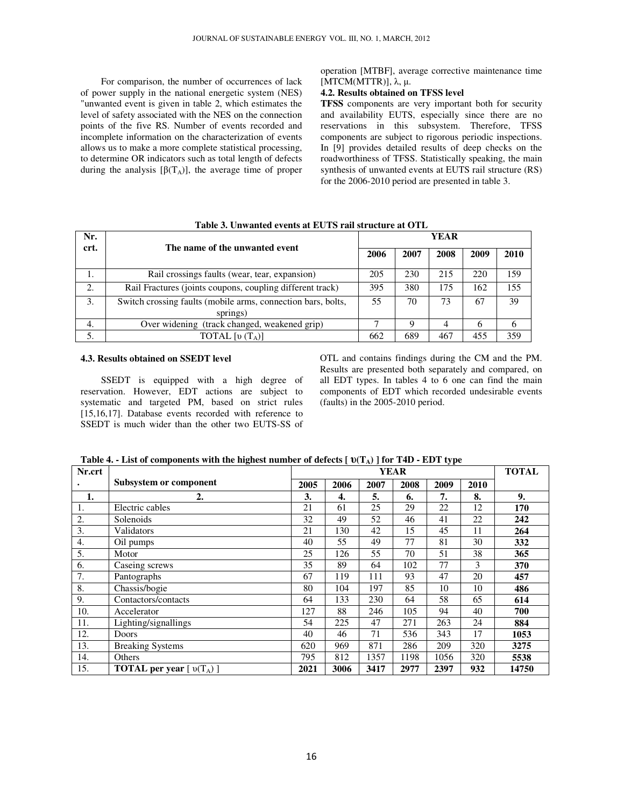For comparison, the number of occurrences of lack of power supply in the national energetic system (NES) "unwanted event is given in table 2, which estimates the level of safety associated with the NES on the connection points of the five RS. Number of events recorded and incomplete information on the characterization of events allows us to make a more complete statistical processing, to determine OR indicators such as total length of defects during the analysis  $[\beta(T_A)]$ , the average time of proper

operation [MTBF], average corrective maintenance time [MTCM(MTTR)], λ, µ.

#### **4.2. Results obtained on TFSS level**

**TFSS** components are very important both for security and availability EUTS, especially since there are no reservations in this subsystem. Therefore, TFSS components are subject to rigorous periodic inspections. In [9] provides detailed results of deep checks on the roadworthiness of TFSS. Statistically speaking, the main synthesis of unwanted events at EUTS rail structure (RS) for the 2006-2010 period are presented in table 3.

| Nr.  |                                                                          | <b>YEAR</b> |      |      |      |      |  |  |
|------|--------------------------------------------------------------------------|-------------|------|------|------|------|--|--|
| crt. | The name of the unwanted event                                           | 2006        | 2007 | 2008 | 2009 | 2010 |  |  |
| 1.   | Rail crossings faults (wear, tear, expansion)                            | 205         | 230  | 215  | 220  | 159  |  |  |
| 2.   | Rail Fractures (joints coupons, coupling different track)                | 395         | 380  | 175  | 162  | 155  |  |  |
| 3.   | Switch crossing faults (mobile arms, connection bars, bolts,<br>springs) | 55          | 70   | 73   | 67   | 39   |  |  |
| 4.   | Over widening (track changed, weakened grip)                             |             | Q    | 4    | h    | 6    |  |  |
| 5.   | TOTAL [v $(T_A)$ ]                                                       | 662         | 689  | 467  | 455  | 359  |  |  |

# **Table 3. Unwanted events at EUTS rail structure at OTL**

#### **4.3. Results obtained on SSEDT level**

SSEDT is equipped with a high degree of reservation. However, EDT actions are subject to systematic and targeted PM, based on strict rules [15,16,17]. Database events recorded with reference to SSEDT is much wider than the other two EUTS-SS of OTL and contains findings during the CM and the PM. Results are presented both separately and compared, on all EDT types. In tables 4 to 6 one can find the main components of EDT which recorded undesirable events (faults) in the 2005-2010 period.

| Nr.crt |                                  | <b>YEAR</b> |      |      |      |      |      | <b>TOTAL</b> |
|--------|----------------------------------|-------------|------|------|------|------|------|--------------|
|        | Subsystem or component           | 2005        | 2006 | 2007 | 2008 | 2009 | 2010 |              |
| 1.     | 2.                               | 3.          | 4.   | 5.   | 6.   | 7.   | 8.   | 9.           |
| ī.     | Electric cables                  | 21          | 61   | 25   | 29   | 22   | 12   | 170          |
| 2.     | Solenoids                        | 32          | 49   | 52   | 46   | 41   | 22   | 242          |
| 3.     | Validators                       | 21          | 130  | 42   | 15   | 45   | 11   | 264          |
| 4.     | Oil pumps                        | 40          | 55   | 49   | 77   | 81   | 30   | 332          |
| 5.     | Motor                            | 25          | 126  | 55   | 70   | 51   | 38   | 365          |
| 6.     | Caseing screws                   | 35          | 89   | 64   | 102  | 77   | 3    | 370          |
| 7.     | Pantographs                      | 67          | 119  | 111  | 93   | 47   | 20   | 457          |
| 8.     | Chassis/bogie                    | 80          | 104  | 197  | 85   | 10   | 10   | 486          |
| 9.     | Contactors/contacts              | 64          | 133  | 230  | 64   | 58   | 65   | 614          |
| 10.    | Accelerator                      | 127         | 88   | 246  | 105  | 94   | 40   | 700          |
| 11.    | Lighting/signallings             | 54          | 225  | 47   | 271  | 263  | 24   | 884          |
| 12.    | Doors                            | 40          | 46   | 71   | 536  | 343  | 17   | 1053         |
| 13.    | <b>Breaking Systems</b>          | 620         | 969  | 871  | 286  | 209  | 320  | 3275         |
| 14.    | Others                           | 795         | 812  | 1357 | 1198 | 1056 | 320  | 5538         |
| 15.    | <b>TOTAL per year</b> $[v(T_A)]$ | 2021        | 3006 | 3417 | 2977 | 2397 | 932  | 14750        |

**Table 4. - List of components with the highest number of defects [** υ**(TA) ] for T4D - EDT type**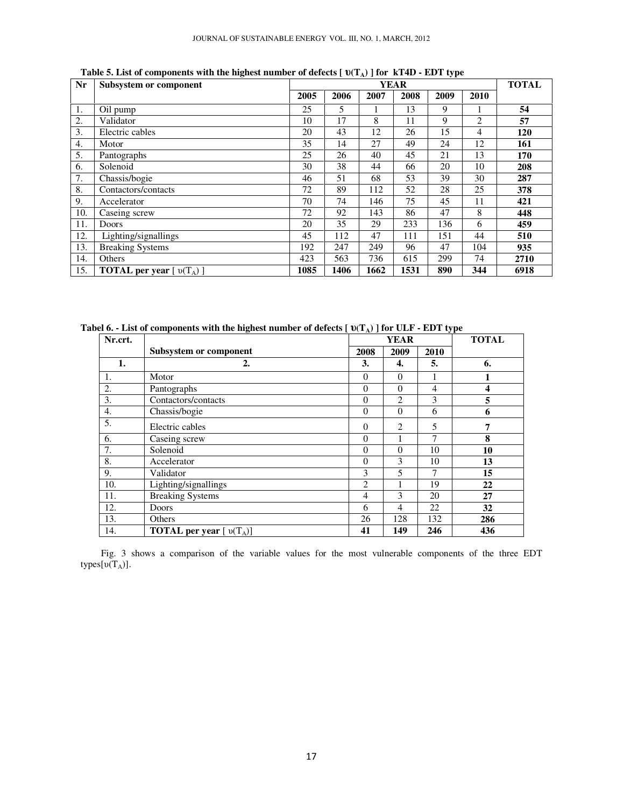| Nr               | Subsystem or component           | <b>YEAR</b> |      |      |      |      |                | <b>TOTAL</b> |
|------------------|----------------------------------|-------------|------|------|------|------|----------------|--------------|
|                  |                                  | 2005        | 2006 | 2007 | 2008 | 2009 | 2010           |              |
| 1.               | Oil pump                         | 25          | 5    |      | 13   | 9    |                | 54           |
| 2.               | Validator                        | 10          | 17   | 8    | 11   | 9    | $\overline{c}$ | 57           |
| 3.               | Electric cables                  | 20          | 43   | 12   | 26   | 15   | 4              | 120          |
| $\overline{4}$ . | Motor                            | 35          | 14   | 27   | 49   | 24   | 12             | 161          |
| 5.               | Pantographs                      | 25          | 26   | 40   | 45   | 21   | 13             | 170          |
| 6.               | Solenoid                         | 30          | 38   | 44   | 66   | 20   | 10             | 208          |
| 7.               | Chassis/bogie                    | 46          | 51   | 68   | 53   | 39   | 30             | 287          |
| 8.               | Contactors/contacts              | 72          | 89   | 112  | 52   | 28   | 25             | 378          |
| 9.               | Accelerator                      | 70          | 74   | 146  | 75   | 45   | 11             | 421          |
| 10.              | Caseing screw                    | 72          | 92   | 143  | 86   | 47   | 8              | 448          |
| 11.              | Doors                            | 20          | 35   | 29   | 233  | 136  | 6              | 459          |
| 12.              | Lighting/signallings             | 45          | 112  | 47   | 111  | 151  | 44             | 510          |
| 13.              | <b>Breaking Systems</b>          | 192         | 247  | 249  | 96   | 47   | 104            | 935          |
| 14.              | Others                           | 423         | 563  | 736  | 615  | 299  | 74             | 2710         |
| 15.              | <b>TOTAL per year</b> $[v(T_A)]$ | 1085        | 1406 | 1662 | 1531 | 890  | 344            | 6918         |

**Table 5. List of components with the highest number of defects [** υ**(TA) ] for kT4D - EDT type** 

**Tabel 6. - List of components with the highest number of defects [** υ**(TA) ] for ULF - EDT type** 

| Nr.crt.          |                                  |          | <b>YEAR</b>    | <b>TOTAL</b>   |     |
|------------------|----------------------------------|----------|----------------|----------------|-----|
|                  | Subsystem or component           | 2008     | 2009           | 2010           |     |
| 1.               | 2.                               | 3.       | 4.             | 5.             | 6.  |
| 1.               | Motor                            | $\Omega$ | $\Omega$       |                |     |
| 2.               | Pantographs                      | $\Omega$ | $\theta$       | 4              | 4   |
| 3.               | Contactors/contacts              | $\theta$ | $\overline{2}$ | 3              | 5   |
| 4.               | Chassis/bogie                    | $\theta$ | $\theta$       | 6              | 6   |
| 5.               | Electric cables                  | $\Omega$ | 2              | 5              | 7   |
| 6.               | Caseing screw                    | $\theta$ |                | $\overline{7}$ | 8   |
| $\overline{7}$ . | Solenoid                         | $\theta$ | $\theta$       | 10             | 10  |
| 8.               | Accelerator                      | $\theta$ | 3              | 10             | 13  |
| 9.               | Validator                        | 3        | 5              | 7              | 15  |
| 10.              | Lighting/signallings             | 2        |                | 19             | 22  |
| 11.              | <b>Breaking Systems</b>          | 4        | 3              | 20             | 27  |
| 12.              | Doors                            | 6        | 4              | 22             | 32  |
| 13.              | Others                           | 26       | 128            | 132            | 286 |
| 14.              | <b>TOTAL per year</b> $[v(T_A)]$ | 41       | 149            | 246            | 436 |

Fig. 3 shows a comparison of the variable values for the most vulnerable components of the three EDT types $[v(T_A)]$ .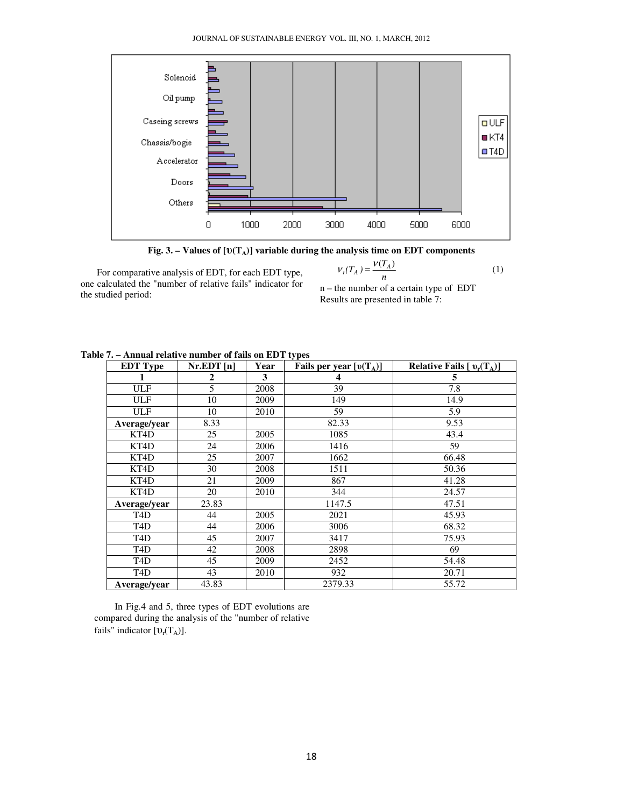

**Fig. 3. – Values of [**υ**(TA)] variable during the analysis time on EDT components** 

For comparative analysis of EDT, for each EDT type, one calculated the "number of relative fails" indicator for the studied period:

$$
V_r(T_A) = \frac{V(T_A)}{n} \tag{1}
$$

n – the number of a certain type of EDT Results are presented in table 7:

| <b>EDT</b> Type  | Nr.EDT[n] | Year | υr<br>Fails per year $[v(T_A)]$ | Relative Fails $[v_r(T_A)]$ |
|------------------|-----------|------|---------------------------------|-----------------------------|
|                  | 2         | 3    | 4                               | 5                           |
| <b>ULF</b>       | 5         | 2008 | 39                              | 7.8                         |
| <b>ULF</b>       | 10        | 2009 | 149                             | 14.9                        |
| <b>ULF</b>       | 10        | 2010 | 59                              | 5.9                         |
| Average/year     | 8.33      |      | 82.33                           | 9.53                        |
| KT4D             | 25        | 2005 | 1085                            | 43.4                        |
| KT4D             | 24        | 2006 | 1416                            | 59                          |
| KT4D             | 25        | 2007 | 1662                            | 66.48                       |
| KT4D             | 30        | 2008 | 1511                            | 50.36                       |
| KT4D             | 21        | 2009 | 867                             | 41.28                       |
| KT4D             | 20        | 2010 | 344                             | 24.57                       |
| Average/year     | 23.83     |      | 1147.5                          | 47.51                       |
| T <sub>4</sub> D | 44        | 2005 | 2021                            | 45.93                       |
| T <sub>4</sub> D | 44        | 2006 | 3006                            | 68.32                       |
| T <sub>4</sub> D | 45        | 2007 | 3417                            | 75.93                       |
| T <sub>4</sub> D | 42        | 2008 | 2898                            | 69                          |
| T <sub>4</sub> D | 45        | 2009 | 2452                            | 54.48                       |
| T <sub>4</sub> D | 43        | 2010 | 932                             | 20.71                       |
| Average/year     | 43.83     |      | 2379.33                         | 55.72                       |

**Table 7. – Annual relative number of fails on EDT types** 

In Fig.4 and 5, three types of EDT evolutions are compared during the analysis of the "number of relative fails" indicator  $[\mathbb{U}_r(T_A)].$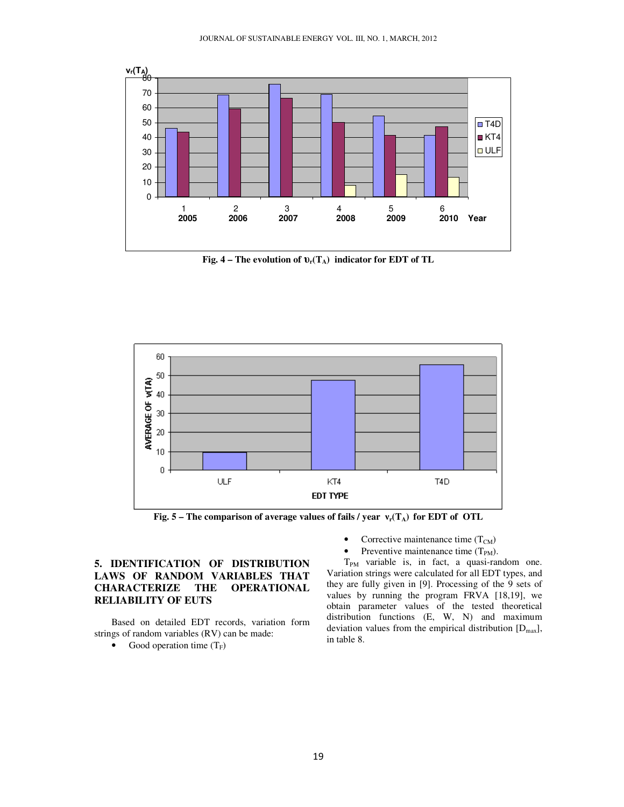

**Fig. 4 – The evolution of** υ**r(TA) indicator for EDT of TL**



**Fig. 5 – The comparison of average values of fails / year** ν**r(TA) for EDT of OTL**

# **5. IDENTIFICATION OF DISTRIBUTION LAWS OF RANDOM VARIABLES THAT CHARACTERIZE THE RELIABILITY OF EUTS**

Based on detailed EDT records, variation form strings of random variables (RV) can be made:

• Good operation time  $(T_F)$ 

- Corrective maintenance time  $(T_{CM})$
- Preventive maintenance time  $(T_{PM})$ .

 $T_{PM}$  variable is, in fact, a quasi-random one. Variation strings were calculated for all EDT types, and they are fully given in [9]. Processing of the 9 sets of values by running the program FRVA [18,19], we obtain parameter values of the tested theoretical distribution functions (E, W, N) and maximum deviation values from the empirical distribution  $[D_{\text{max}}]$ , in table 8.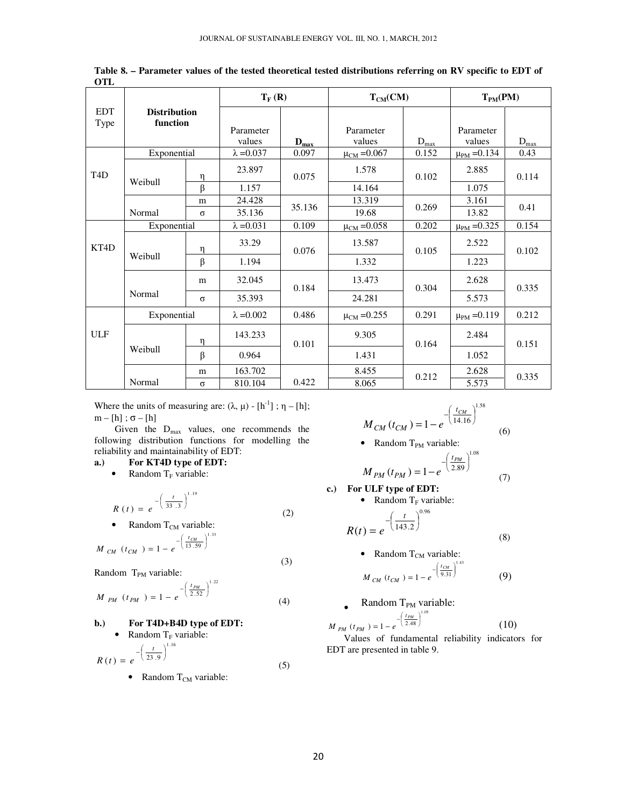|                    |                                 |          | $T_F(R)$          |           | $T_{CM}(CM)$       |                             | $T_{PM}(PM)$       |           |  |
|--------------------|---------------------------------|----------|-------------------|-----------|--------------------|-----------------------------|--------------------|-----------|--|
| <b>EDT</b><br>Type | <b>Distribution</b><br>function |          |                   |           |                    |                             |                    |           |  |
|                    |                                 |          | Parameter         |           | Parameter          |                             | Parameter          |           |  |
|                    |                                 |          | values            | $D_{max}$ | values             | $D_{\underbar{\text{max}}}$ | values             | $D_{max}$ |  |
|                    | Exponential                     |          | $\lambda$ =0.037  | 0.097     | $\mu_{CM} = 0.067$ | 0.152                       | $\mu_{PM} = 0.134$ | 0.43      |  |
| T <sub>4</sub> D   | Weibull                         | n        | 23.897            | 0.075     | 1.578              | 0.102                       | 2.885              | 0.114     |  |
|                    |                                 | $\beta$  | 1.157             |           | 14.164             |                             | 1.075              |           |  |
|                    |                                 | m        | 24.428            |           | 13.319             |                             | 3.161              |           |  |
|                    | Normal                          | $\sigma$ | 35.136            | 35.136    | 19.68              | 0.269                       | 13.82              | 0.41      |  |
|                    | Exponential                     |          | $\lambda = 0.031$ | 0.109     | $\mu_{CM} = 0.058$ | 0.202                       | $\mu_{PM} = 0.325$ | 0.154     |  |
| KT4D               |                                 | η        | 33.29             | 0.076     | 13.587             | 0.105                       | 2.522              | 0.102     |  |
|                    | Weibull                         | $\beta$  | 1.194             |           | 1.332              |                             | 1.223              |           |  |
|                    |                                 | m        | 32.045            | 0.184     | 13.473             | 0.304                       | 2.628              | 0.335     |  |
|                    | Normal                          | $\sigma$ | 35.393            |           | 24.281             |                             | 5.573              |           |  |
|                    | Exponential                     |          | $\lambda = 0.002$ | 0.486     | $\mu_{CM} = 0.255$ | 0.291                       | $\mu_{PM} = 0.119$ | 0.212     |  |
| <b>ULF</b>         |                                 | η        | 143.233           | 0.101     | 9.305              | 0.164                       | 2.484              | 0.151     |  |
|                    | Weibull                         | $\beta$  | 0.964             |           | 1.431              |                             | 1.052              |           |  |
|                    |                                 | m        | 163.702           |           | 8.455              | 0.212                       | 2.628              | 0.335     |  |
|                    | Normal                          | $\sigma$ | 810.104           | 0.422     | 8.065              |                             | 5.573              |           |  |

**Table 8. – Parameter values of the tested theoretical tested distributions referring on RV specific to EDT of OTL** 

Where the units of measuring are:  $(\lambda, \mu)$  -  $[h^{-1}]$ ;  $\eta$  –  $[h]$ ;  $m - [h]$ ;  $\sigma - [h]$ 

Given the  $D_{\text{max}}$  values, one recommends the following distribution functions for modelling the reliability and maintainability of EDT:

### **a.) For KT4D type of EDT:**

• Random  $T_F$  variable:

$$
R(t) = e^{-\left(\frac{t}{33.3}\right)^{1.19}}
$$
 (2)

• Random  $T_{CM}$  variable:

$$
M_{CM} (t_{CM}) = 1 - e^{-\left(\frac{t_{CM}}{13.59}\right)^{1.33}}
$$

 (3) Random T<sub>PM</sub> variable:

$$
M_{PM} (t_{PM}) = 1 - e^{-\left(\frac{t_{PM}}{2.52}\right)^{1.22}}
$$
 (4)

# **b.) For T4D+B4D type of EDT:**  • Random  $T_F$  variable:

$$
R(t) = e^{-\left(\frac{t}{23.9}\right)^{1.16}}
$$
 (5)

• Random  $T_{CM}$  variable:

$$
M_{CM}(t_{CM}) = 1 - e^{-\left(\frac{t_{CM}}{14.16}\right)^{1.58}}
$$
(6)

• Random  $T_{PM}$  variable:

$$
M_{PM}(t_{PM}) = 1 - e^{-\left(\frac{t_{PM}}{2.89}\right)^{1.08}}
$$
 (7)

in 19

c.) For ULF type of EDT:  
\n• Random T<sub>F</sub> variable:  
\n
$$
R(t) = e^{-\left(\frac{t}{143.2}\right)^{0.96}}
$$

$$
(143.2)
$$
 (8)

• Random T<sub>CM</sub> variable:  
\n
$$
M_{CM} (t_{CM}) = 1 - e^{-\left(\frac{t_{CM}}{9.31}\right)^{1.43}}
$$
\n(9)

**Random T<sub>PM</sub> variable:**  
\n
$$
M_{PM} (t_{PM}) = 1 - e^{-\left(\frac{t_{PM}}{2.48}\right)^{1.05}}
$$
\n(10)

Values of fundamental reliability indicators for EDT are presented in table 9.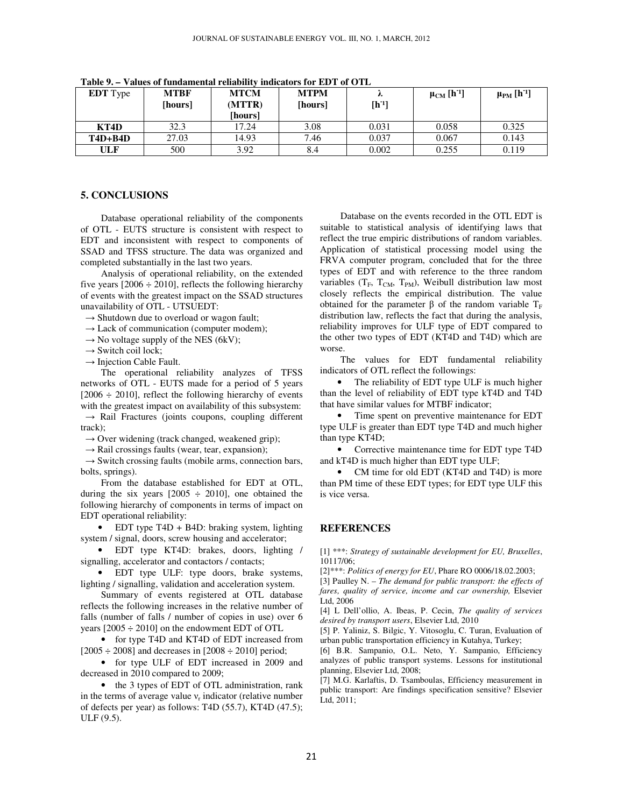| <b>EDT</b> Type | <b>MTBF</b><br>[hours] | <b>MTCM</b><br>(MTTR)<br>[hours] | <b>MTPM</b><br>[hours] | ∼<br>$[h-1]$ | $\mu_{CM}$ [h <sup>-1</sup> ] | $\mu_{PM}$ [h <sup>-1</sup> ] |
|-----------------|------------------------|----------------------------------|------------------------|--------------|-------------------------------|-------------------------------|
| KT4D            | 32.3                   | 17.24                            | 3.08                   | 0.031        | 0.058                         | 0.325                         |
| $T4D+B4D$       | 27.03                  | 14.93                            | 7.46                   | 0.037        | 0.067                         | 0.143                         |
| ULF             | 500                    | 3.92                             | 8.4                    | 0.002        | 0.255                         | 0.119                         |

**Table 9.** *–* **Values of fundamental reliability indicators for EDT of OTL**

### **5. CONCLUSIONS**

Database operational reliability of the components of OTL - EUTS structure is consistent with respect to EDT and inconsistent with respect to components of SSAD and TFSS structure. The data was organized and completed substantially in the last two years.

Analysis of operational reliability, on the extended five years  $[2006 \div 2010]$ , reflects the following hierarchy of events with the greatest impact on the SSAD structures unavailability of OTL - UTSUEDT:

 $\rightarrow$  Shutdown due to overload or wagon fault;

- $\rightarrow$  Lack of communication (computer modem);
- $\rightarrow$  No voltage supply of the NES (6kV);
- $\rightarrow$  Switch coil lock;
- $\rightarrow$  Injection Cable Fault.

The operational reliability analyzes of TFSS networks of OTL - EUTS made for a period of 5 years  $[2006 \div 2010]$ , reflect the following hierarchy of events with the greatest impact on availability of this subsystem:  $\rightarrow$  Rail Fractures (joints coupons, coupling different

track);  $\rightarrow$  Over widening (track changed, weakened grip);

 $\rightarrow$  Rail crossings faults (wear, tear, expansion);

 $\rightarrow$  Switch crossing faults (mobile arms, connection bars, bolts, springs).

From the database established for EDT at OTL, during the six years  $[2005 \div 2010]$ , one obtained the following hierarchy of components in terms of impact on EDT operational reliability:

• EDT type T4D + B4D: braking system, lighting system / signal, doors, screw housing and accelerator;

• EDT type KT4D: brakes, doors, lighting / signalling, accelerator and contactors / contacts;

• EDT type ULF: type doors, brake systems, lighting / signalling, validation and acceleration system.

Summary of events registered at OTL database reflects the following increases in the relative number of falls (number of falls / number of copies in use) over 6 years  $[2005 \div 2010]$  on the endowment EDT of OTL

• for type T4D and KT4D of EDT increased from  $[2005 \div 2008]$  and decreases in  $[2008 \div 2010]$  period;

• for type ULF of EDT increased in 2009 and decreased in 2010 compared to 2009;

• the 3 types of EDT of OTL administration, rank in the terms of average value  $v_r$  indicator (relative number of defects per year) as follows: T4D (55.7), KT4D (47.5); ULF (9.5).

Database on the events recorded in the OTL EDT is suitable to statistical analysis of identifying laws that reflect the true empiric distributions of random variables. Application of statistical processing model using the FRVA computer program, concluded that for the three types of EDT and with reference to the three random variables (T<sub>F</sub>, T<sub>CM</sub>, T<sub>PM</sub>), Weibull distribution law most closely reflects the empirical distribution. The value obtained for the parameter β of the random variable  $T_F$ distribution law, reflects the fact that during the analysis, reliability improves for ULF type of EDT compared to the other two types of EDT (KT4D and T4D) which are worse.

The values for EDT fundamental reliability indicators of OTL reflect the followings:

• The reliability of EDT type ULF is much higher than the level of reliability of EDT type kT4D and T4D that have similar values for MTBF indicator;

• Time spent on preventive maintenance for EDT type ULF is greater than EDT type T4D and much higher than type KT4D;

• Corrective maintenance time for EDT type T4D and kT4D is much higher than EDT type ULF;

• CM time for old EDT (KT4D and T4D) is more than PM time of these EDT types; for EDT type ULF this is vice versa.

#### **REFERENCES**

[1] \*\*\*: *Strategy of sustainable development for EU, Bruxelles*, 10117/06;

[2]\*\*\*: *Politics of energy for EU*, Phare RO 0006/18.02.2003;

[3] Paulley N. – *The demand for public transport: the effects of fares, quality of service, income and car ownership,* Elsevier Ltd, 2006

[4] L Dell'ollio, A. Ibeas, P. Cecin, *The quality of services desired by transport users*, Elsevier Ltd, 2010

[5] P. Yaliniz, S. Bilgic, Y. Vitosoglu, C. Turan, Evaluation of urban public transportation efficiency in Kutahya, Turkey;

[6] B.R. Sampanio, O.L. Neto, Y. Sampanio, Efficiency analyzes of public transport systems. Lessons for institutional planning, Elsevier Ltd, 2008;

[7] M.G. Karlaftis, D. Tsamboulas, Efficiency measurement in public transport: Are findings specification sensitive? Elsevier Ltd, 2011;